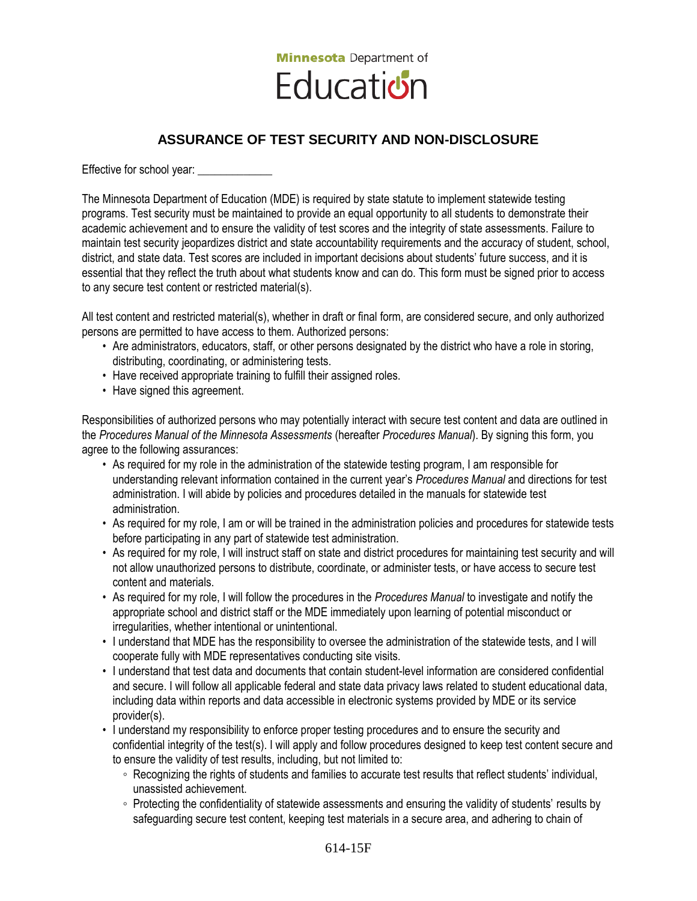

# **ASSURANCE OF TEST SECURITY AND NON-DISCLOSURE**

Effective for school year: \_\_\_\_\_\_\_\_\_\_\_\_\_

The Minnesota Department of Education (MDE) is required by state statute to implement statewide testing programs. Test security must be maintained to provide an equal opportunity to all students to demonstrate their academic achievement and to ensure the validity of test scores and the integrity of state assessments. Failure to maintain test security jeopardizes district and state accountability requirements and the accuracy of student, school, district, and state data. Test scores are included in important decisions about students' future success, and it is essential that they reflect the truth about what students know and can do. This form must be signed prior to access to any secure test content or restricted material(s).

All test content and restricted material(s), whether in draft or final form, are considered secure, and only authorized persons are permitted to have access to them. Authorized persons:

- Are administrators, educators, staff, or other persons designated by the district who have a role in storing, distributing, coordinating, or administering tests.
- Have received appropriate training to fulfill their assigned roles.
- Have signed this agreement.

Responsibilities of authorized persons who may potentially interact with secure test content and data are outlined in the *Procedures Manual of the Minnesota Assessments* (hereafter *Procedures Manual*). By signing this form, you agree to the following assurances:

- As required for my role in the administration of the statewide testing program, I am responsible for understanding relevant information contained in the current year's *Procedures Manual* and directions for test administration. I will abide by policies and procedures detailed in the manuals for statewide test administration.
- As required for my role, I am or will be trained in the administration policies and procedures for statewide tests before participating in any part of statewide test administration.
- As required for my role, I will instruct staff on state and district procedures for maintaining test security and will not allow unauthorized persons to distribute, coordinate, or administer tests, or have access to secure test content and materials.
- As required for my role, I will follow the procedures in the *Procedures Manual* to investigate and notify the appropriate school and district staff or the MDE immediately upon learning of potential misconduct or irregularities, whether intentional or unintentional.
- I understand that MDE has the responsibility to oversee the administration of the statewide tests, and I will cooperate fully with MDE representatives conducting site visits.
- I understand that test data and documents that contain student-level information are considered confidential and secure. I will follow all applicable federal and state data privacy laws related to student educational data, including data within reports and data accessible in electronic systems provided by MDE or its service provider(s).
- I understand my responsibility to enforce proper testing procedures and to ensure the security and confidential integrity of the test(s). I will apply and follow procedures designed to keep test content secure and to ensure the validity of test results, including, but not limited to:
	- Recognizing the rights of students and families to accurate test results that reflect students' individual, unassisted achievement.
	- Protecting the confidentiality of statewide assessments and ensuring the validity of students' results by safeguarding secure test content, keeping test materials in a secure area, and adhering to chain of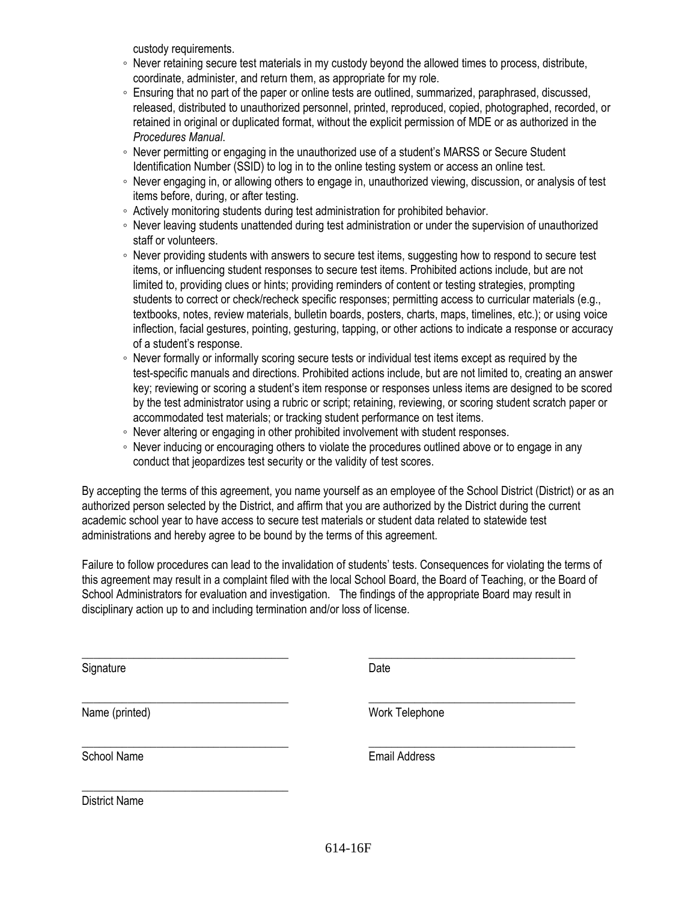custody requirements.

- Never retaining secure test materials in my custody beyond the allowed times to process, distribute, coordinate, administer, and return them, as appropriate for my role.
- Ensuring that no part of the paper or online tests are outlined, summarized, paraphrased, discussed, released, distributed to unauthorized personnel, printed, reproduced, copied, photographed, recorded, or retained in original or duplicated format, without the explicit permission of MDE or as authorized in the *Procedures Manual*.
- Never permitting or engaging in the unauthorized use of a student's MARSS or Secure Student Identification Number (SSID) to log in to the online testing system or access an online test.
- Never engaging in, or allowing others to engage in, unauthorized viewing, discussion, or analysis of test items before, during, or after testing.
- Actively monitoring students during test administration for prohibited behavior.
- Never leaving students unattended during test administration or under the supervision of unauthorized staff or volunteers.
- Never providing students with answers to secure test items, suggesting how to respond to secure test items, or influencing student responses to secure test items. Prohibited actions include, but are not limited to, providing clues or hints; providing reminders of content or testing strategies, prompting students to correct or check/recheck specific responses; permitting access to curricular materials (e.g., textbooks, notes, review materials, bulletin boards, posters, charts, maps, timelines, etc.); or using voice inflection, facial gestures, pointing, gesturing, tapping, or other actions to indicate a response or accuracy of a student's response.
- Never formally or informally scoring secure tests or individual test items except as required by the test-specific manuals and directions. Prohibited actions include, but are not limited to, creating an answer key; reviewing or scoring a student's item response or responses unless items are designed to be scored by the test administrator using a rubric or script; retaining, reviewing, or scoring student scratch paper or accommodated test materials; or tracking student performance on test items.
- Never altering or engaging in other prohibited involvement with student responses.
- Never inducing or encouraging others to violate the procedures outlined above or to engage in any conduct that jeopardizes test security or the validity of test scores.

By accepting the terms of this agreement, you name yourself as an employee of the School District (District) or as an authorized person selected by the District, and affirm that you are authorized by the District during the current academic school year to have access to secure test materials or student data related to statewide test administrations and hereby agree to be bound by the terms of this agreement.

Failure to follow procedures can lead to the invalidation of students' tests. Consequences for violating the terms of this agreement may result in a complaint filed with the local School Board, the Board of Teaching, or the Board of School Administrators for evaluation and investigation. The findings of the appropriate Board may result in disciplinary action up to and including termination and/or loss of license.

\_\_\_\_\_\_\_\_\_\_\_\_\_\_\_\_\_\_\_\_\_\_\_\_\_\_\_\_\_\_\_\_\_\_\_\_ \_\_\_\_\_\_\_\_\_\_\_\_\_\_\_\_\_\_\_\_\_\_\_\_\_\_\_\_\_\_\_\_\_\_\_\_

\_\_\_\_\_\_\_\_\_\_\_\_\_\_\_\_\_\_\_\_\_\_\_\_\_\_\_\_\_\_\_\_\_\_\_\_ \_\_\_\_\_\_\_\_\_\_\_\_\_\_\_\_\_\_\_\_\_\_\_\_\_\_\_\_\_\_\_\_\_\_\_\_

\_\_\_\_\_\_\_\_\_\_\_\_\_\_\_\_\_\_\_\_\_\_\_\_\_\_\_\_\_\_\_\_\_\_\_\_ \_\_\_\_\_\_\_\_\_\_\_\_\_\_\_\_\_\_\_\_\_\_\_\_\_\_\_\_\_\_\_\_\_\_\_\_

Signature Date **Date** 

Name (printed) Work Telephone

School Name **Email Address** 

District Name

\_\_\_\_\_\_\_\_\_\_\_\_\_\_\_\_\_\_\_\_\_\_\_\_\_\_\_\_\_\_\_\_\_\_\_\_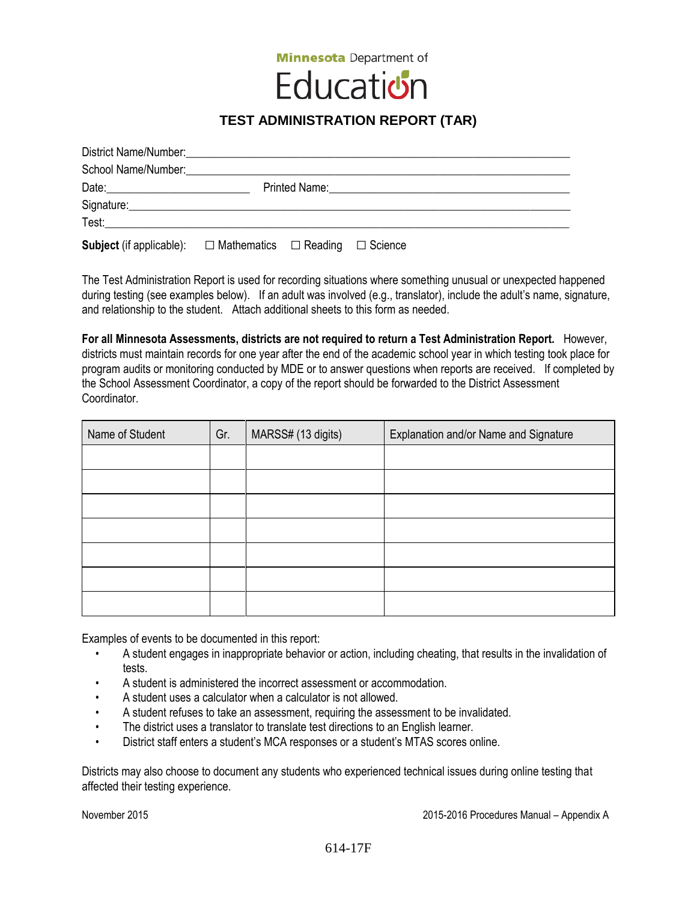**Minnesota** Department of

# Education

# **TEST ADMINISTRATION REPORT (TAR)**

| Signature: Signature:                                                                                                                                                                                                               |  |  |  |  |  |  |
|-------------------------------------------------------------------------------------------------------------------------------------------------------------------------------------------------------------------------------------|--|--|--|--|--|--|
| <b>Test:</b> The contract of the contract of the contract of the contract of the contract of the contract of the contract of the contract of the contract of the contract of the contract of the contract of the contract of the co |  |  |  |  |  |  |
| <b>Subject</b> (if applicable): $\square$ Mathematics $\square$ Reading $\square$ Science                                                                                                                                           |  |  |  |  |  |  |

The Test Administration Report is used for recording situations where something unusual or unexpected happened during testing (see examples below). If an adult was involved (e.g., translator), include the adult's name, signature, and relationship to the student. Attach additional sheets to this form as needed.

**For all Minnesota Assessments, districts are not required to return a Test Administration Report.** However, districts must maintain records for one year after the end of the academic school year in which testing took place for program audits or monitoring conducted by MDE or to answer questions when reports are received. If completed by the School Assessment Coordinator, a copy of the report should be forwarded to the District Assessment Coordinator.

| Name of Student | Gr. | MARSS# (13 digits) | Explanation and/or Name and Signature |  |
|-----------------|-----|--------------------|---------------------------------------|--|
|                 |     |                    |                                       |  |
|                 |     |                    |                                       |  |
|                 |     |                    |                                       |  |
|                 |     |                    |                                       |  |
|                 |     |                    |                                       |  |
|                 |     |                    |                                       |  |
|                 |     |                    |                                       |  |

Examples of events to be documented in this report:

- A student engages in inappropriate behavior or action, including cheating, that results in the invalidation of tests.
- A student is administered the incorrect assessment or accommodation.
- A student uses a calculator when a calculator is not allowed.
- A student refuses to take an assessment, requiring the assessment to be invalidated.
- The district uses a translator to translate test directions to an English learner.
- District staff enters a student's MCA responses or a student's MTAS scores online.

Districts may also choose to document any students who experienced technical issues during online testing that affected their testing experience.

November 2015 2015-2016 Procedures Manual – Appendix A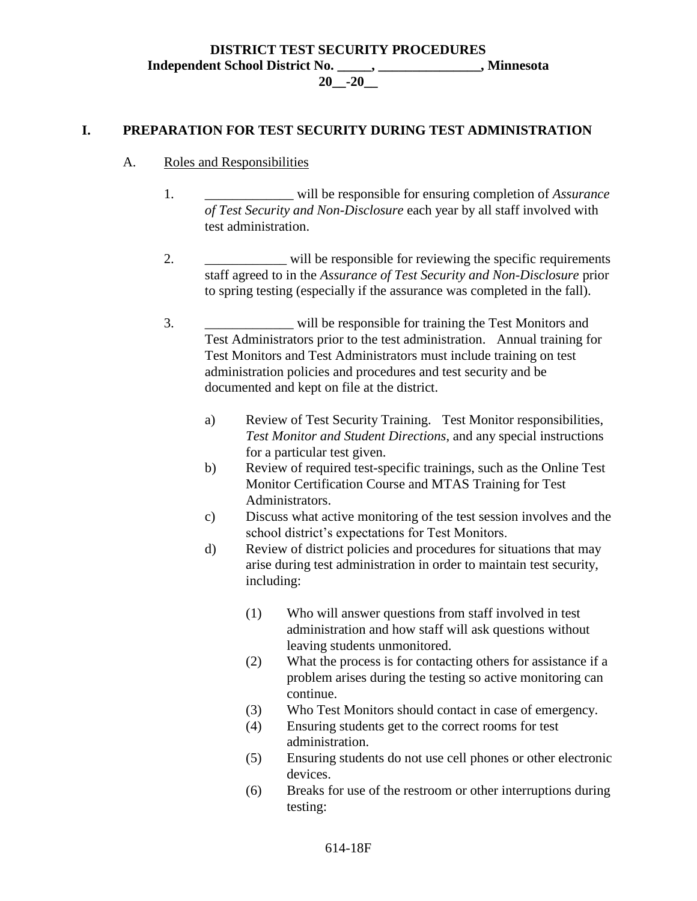#### **DISTRICT TEST SECURITY PROCEDURES Independent School District No. \_\_\_\_\_, \_\_\_\_\_\_\_\_\_\_\_\_\_\_\_, Minnesota 20\_\_-20\_\_**

#### **I. PREPARATION FOR TEST SECURITY DURING TEST ADMINISTRATION**

- A. Roles and Responsibilities
	- 1. \_\_\_\_\_\_\_\_\_\_\_\_\_ will be responsible for ensuring completion of *Assurance of Test Security and Non-Disclosure* each year by all staff involved with test administration.
	- 2.  $\blacksquare$  will be responsible for reviewing the specific requirements staff agreed to in the *Assurance of Test Security and Non-Disclosure* prior to spring testing (especially if the assurance was completed in the fall).
	- 3. \_\_\_\_\_\_\_\_\_\_\_\_\_ will be responsible for training the Test Monitors and Test Administrators prior to the test administration. Annual training for Test Monitors and Test Administrators must include training on test administration policies and procedures and test security and be documented and kept on file at the district.
		- a) Review of Test Security Training. Test Monitor responsibilities, *Test Monitor and Student Directions*, and any special instructions for a particular test given.
		- b) Review of required test-specific trainings, such as the Online Test Monitor Certification Course and MTAS Training for Test Administrators.
		- c) Discuss what active monitoring of the test session involves and the school district's expectations for Test Monitors.
		- d) Review of district policies and procedures for situations that may arise during test administration in order to maintain test security, including:
			- (1) Who will answer questions from staff involved in test administration and how staff will ask questions without leaving students unmonitored.
			- (2) What the process is for contacting others for assistance if a problem arises during the testing so active monitoring can continue.
			- (3) Who Test Monitors should contact in case of emergency.
			- (4) Ensuring students get to the correct rooms for test administration.
			- (5) Ensuring students do not use cell phones or other electronic devices.
			- (6) Breaks for use of the restroom or other interruptions during testing: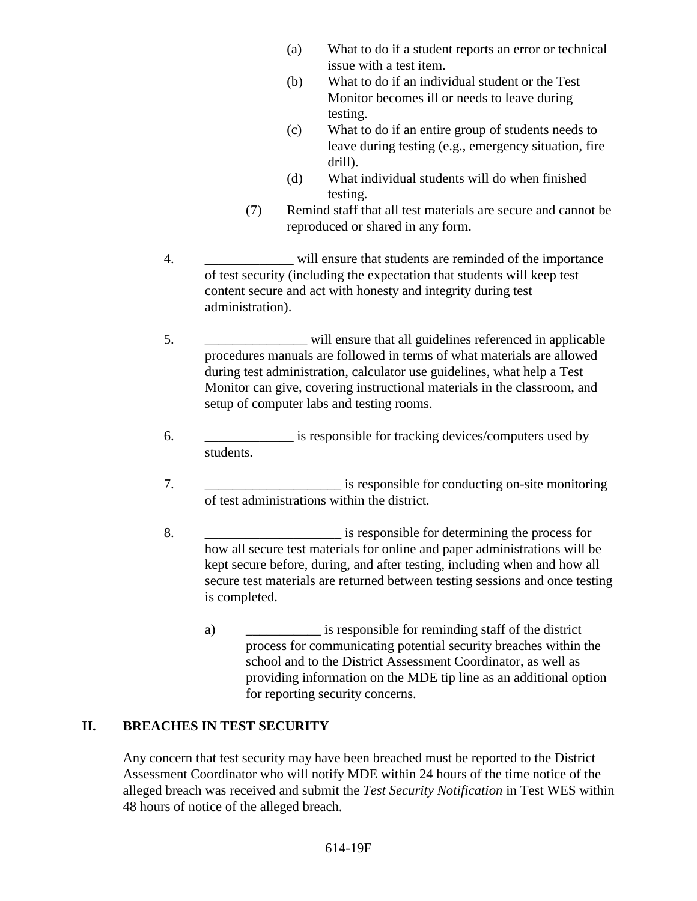- (a) What to do if a student reports an error or technical issue with a test item.
- (b) What to do if an individual student or the Test Monitor becomes ill or needs to leave during testing.
- (c) What to do if an entire group of students needs to leave during testing (e.g., emergency situation, fire drill).
- (d) What individual students will do when finished testing.
- (7) Remind staff that all test materials are secure and cannot be reproduced or shared in any form.
- 4. **Example 1** will ensure that students are reminded of the importance of test security (including the expectation that students will keep test content secure and act with honesty and integrity during test administration).
- 5. \_\_\_\_\_\_\_\_\_\_\_\_\_\_\_ will ensure that all guidelines referenced in applicable procedures manuals are followed in terms of what materials are allowed during test administration, calculator use guidelines, what help a Test Monitor can give, covering instructional materials in the classroom, and setup of computer labs and testing rooms.
- 6. \_\_\_\_\_\_\_\_\_\_\_\_\_ is responsible for tracking devices/computers used by students.
- 7.  $\frac{1}{2}$  is responsible for conducting on-site monitoring of test administrations within the district.
- 8.  $\blacksquare$  is responsible for determining the process for how all secure test materials for online and paper administrations will be kept secure before, during, and after testing, including when and how all secure test materials are returned between testing sessions and once testing is completed.
	- a) \_\_\_\_\_\_\_\_\_\_\_ is responsible for reminding staff of the district process for communicating potential security breaches within the school and to the District Assessment Coordinator, as well as providing information on the MDE tip line as an additional option for reporting security concerns.

## **II. BREACHES IN TEST SECURITY**

Any concern that test security may have been breached must be reported to the District Assessment Coordinator who will notify MDE within 24 hours of the time notice of the alleged breach was received and submit the *Test Security Notification* in Test WES within 48 hours of notice of the alleged breach.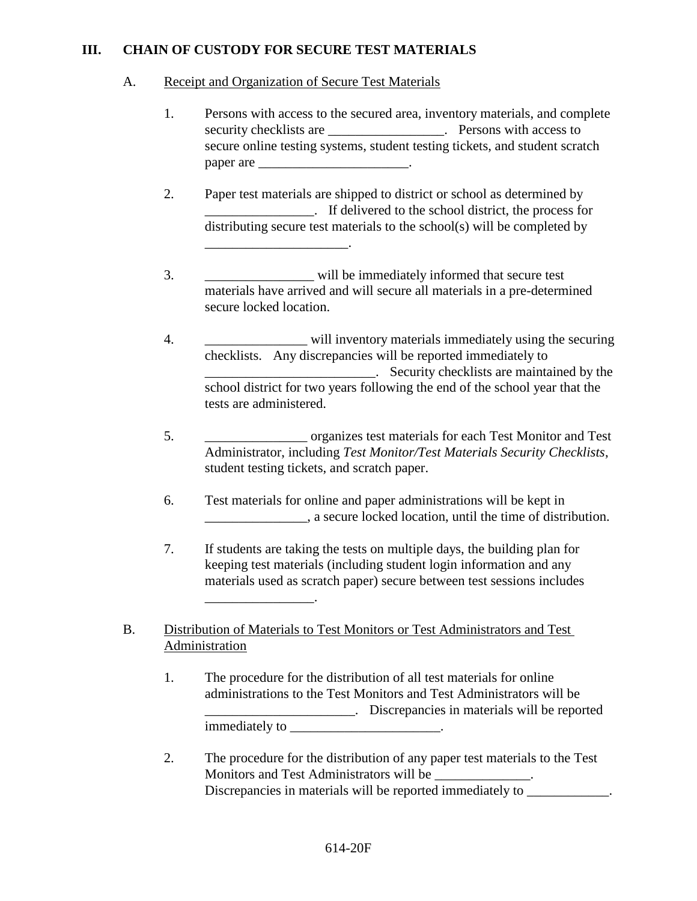### **III. CHAIN OF CUSTODY FOR SECURE TEST MATERIALS**

#### A. Receipt and Organization of Secure Test Materials

- 1. Persons with access to the secured area, inventory materials, and complete security checklists are \_\_\_\_\_\_\_\_\_\_\_\_\_\_\_\_\_. Persons with access to secure online testing systems, student testing tickets, and student scratch paper are \_\_\_\_\_\_\_\_\_\_\_\_\_\_\_\_\_\_\_\_\_\_\_\_\_.
- 2. Paper test materials are shipped to district or school as determined by \_\_\_\_\_\_\_\_\_\_\_\_\_\_\_\_. If delivered to the school district, the process for distributing secure test materials to the school(s) will be completed by \_\_\_\_\_\_\_\_\_\_\_\_\_\_\_\_\_\_\_\_\_.
- 3. \_\_\_\_\_\_\_\_\_\_\_\_\_\_\_\_ will be immediately informed that secure test materials have arrived and will secure all materials in a pre-determined secure locked location.
- 4.  $\omega$  will inventory materials immediately using the securing checklists. Any discrepancies will be reported immediately to \_\_\_\_\_\_\_\_\_\_\_\_\_\_\_\_\_\_\_\_\_\_\_\_\_. Security checklists are maintained by the school district for two years following the end of the school year that the tests are administered.
- 5. \_\_\_\_\_\_\_\_\_\_\_\_\_\_\_ organizes test materials for each Test Monitor and Test Administrator, including *Test Monitor/Test Materials Security Checklists*, student testing tickets, and scratch paper.
- 6. Test materials for online and paper administrations will be kept in \_\_\_\_\_\_\_\_\_\_\_\_\_\_\_, a secure locked location, until the time of distribution.
- 7. If students are taking the tests on multiple days, the building plan for keeping test materials (including student login information and any materials used as scratch paper) secure between test sessions includes
- B. Distribution of Materials to Test Monitors or Test Administrators and Test Administration

\_\_\_\_\_\_\_\_\_\_\_\_\_\_\_\_.

- 1. The procedure for the distribution of all test materials for online administrations to the Test Monitors and Test Administrators will be \_\_\_\_\_\_\_\_\_\_\_\_\_\_\_\_\_\_\_\_\_\_. Discrepancies in materials will be reported immediately to the control of the control of the control of the control of the control of the control of the control of the control of the control of the control of the control of the control of the control of the control
- 2. The procedure for the distribution of any paper test materials to the Test Monitors and Test Administrators will be \_\_\_\_\_\_\_\_\_\_\_\_\_\_. Discrepancies in materials will be reported immediately to \_\_\_\_\_\_\_\_\_\_\_\_\_.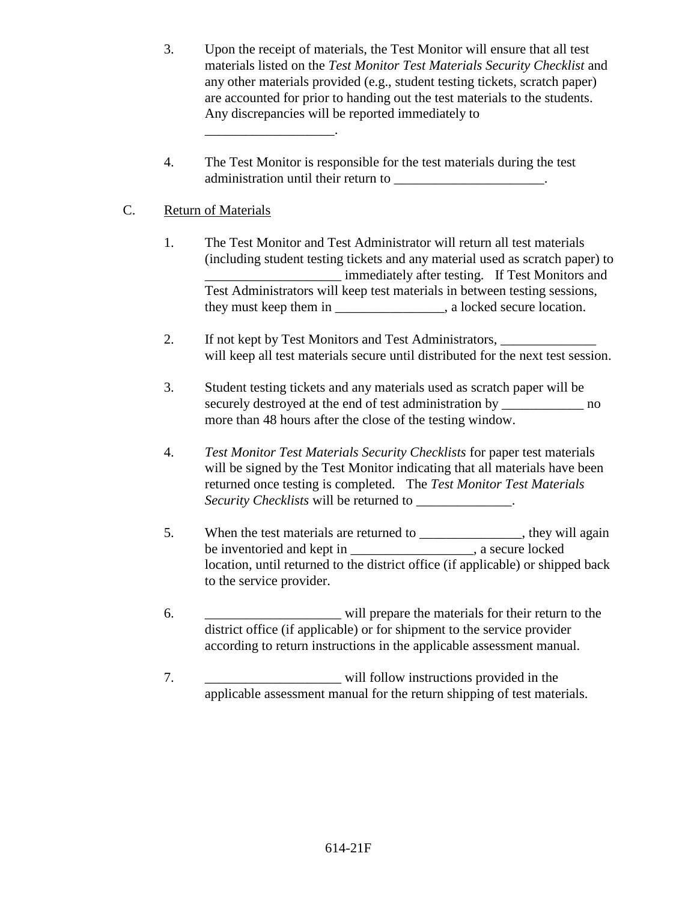- 3. Upon the receipt of materials, the Test Monitor will ensure that all test materials listed on the *Test Monitor Test Materials Security Checklist* and any other materials provided (e.g., student testing tickets, scratch paper) are accounted for prior to handing out the test materials to the students. Any discrepancies will be reported immediately to
- 4. The Test Monitor is responsible for the test materials during the test administration until their return to \_\_\_\_\_\_\_\_\_\_\_\_\_\_\_\_\_\_\_\_\_\_\_\_\_\_.

## C. Return of Materials

\_\_\_\_\_\_\_\_\_\_\_\_\_\_\_\_\_\_\_.

- 1. The Test Monitor and Test Administrator will return all test materials (including student testing tickets and any material used as scratch paper) to \_\_\_\_\_\_\_\_\_\_\_\_\_\_\_\_\_\_\_\_ immediately after testing. If Test Monitors and Test Administrators will keep test materials in between testing sessions, they must keep them in example a locked secure location.
- 2. If not kept by Test Monitors and Test Administrators, will keep all test materials secure until distributed for the next test session.
- 3. Student testing tickets and any materials used as scratch paper will be securely destroyed at the end of test administration by \_\_\_\_\_\_\_\_\_\_\_\_\_\_\_ no more than 48 hours after the close of the testing window.
- 4. *Test Monitor Test Materials Security Checklists* for paper test materials will be signed by the Test Monitor indicating that all materials have been returned once testing is completed. The *Test Monitor Test Materials Security Checklists* will be returned to \_\_\_\_\_\_\_\_\_\_\_\_\_\_.
- 5. When the test materials are returned to \_\_\_\_\_\_\_\_\_\_\_\_\_, they will again be inventoried and kept in example in the secure locked secure locked location, until returned to the district office (if applicable) or shipped back to the service provider.
- 6. \_\_\_\_\_\_\_\_\_\_\_\_\_\_\_\_\_\_\_\_ will prepare the materials for their return to the district office (if applicable) or for shipment to the service provider according to return instructions in the applicable assessment manual.
- 7. Will follow instructions provided in the applicable assessment manual for the return shipping of test materials.